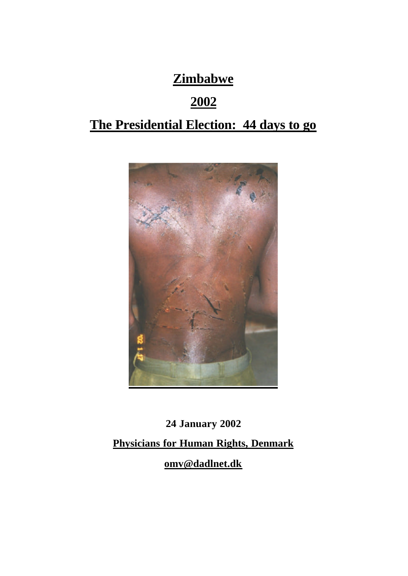# **Zimbabwe**

# **2002**

# **The Presidential Election: 44 days to go**



**24 January 2002 Physicians for Human Rights, Denmark omv@dadlnet.dk**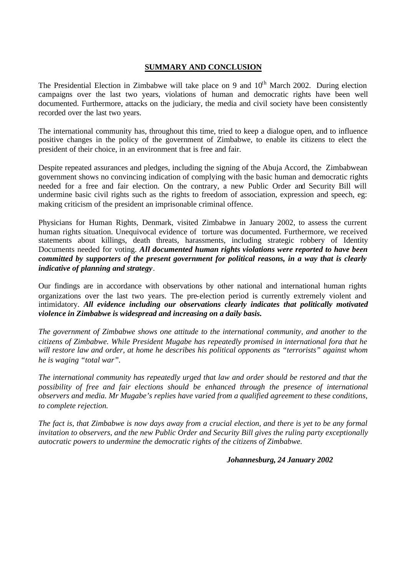## **SUMMARY AND CONCLUSION**

The Presidential Election in Zimbabwe will take place on 9 and  $10<sup>th</sup>$  March 2002. During election campaigns over the last two years, violations of human and democratic rights have been well documented. Furthermore, attacks on the judiciary, the media and civil society have been consistently recorded over the last two years.

The international community has, throughout this time, tried to keep a dialogue open, and to influence positive changes in the policy of the government of Zimbabwe, to enable its citizens to elect the president of their choice, in an environment that is free and fair.

Despite repeated assurances and pledges, including the signing of the Abuja Accord, the Zimbabwean government shows no convincing indication of complying with the basic human and democratic rights needed for a free and fair election. On the contrary, a new Public Order and Security Bill will undermine basic civil rights such as the rights to freedom of association, expression and speech, eg: making criticism of the president an imprisonable criminal offence.

Physicians for Human Rights, Denmark, visited Zimbabwe in January 2002, to assess the current human rights situation. Unequivocal evidence of torture was documented. Furthermore, we received statements about killings, death threats, harassments, including strategic robbery of Identity Documents needed for voting. *All documented human rights violations were reported to have been committed by supporters of the present government for political reasons, in a way that is clearly indicative of planning and strategy*.

Our findings are in accordance with observations by other national and international human rights organizations over the last two years. The pre-election period is currently extremely violent and intimidatory. *All evidence including our observations clearly indicates that politically motivated violence in Zimbabwe is widespread and increasing on a daily basis.* 

*The government of Zimbabwe shows one attitude to the international community, and another to the citizens of Zimbabwe. While President Mugabe has repeatedly promised in international fora that he will restore law and order, at home he describes his political opponents as "terrorists" against whom he is waging "total war".* 

*The international community has repeatedly urged that law and order should be restored and that the possibility of free and fair elections should be enhanced through the presence of international observers and media. Mr Mugabe's replies have varied from a qualified agreement to these conditions, to complete rejection.* 

*The fact is, that Zimbabwe is now days away from a crucial election, and there is yet to be any formal invitation to observers, and the new Public Order and Security Bill gives the ruling party exceptionally autocratic powers to undermine the democratic rights of the citizens of Zimbabwe.* 

#### *Johannesburg, 24 January 2002*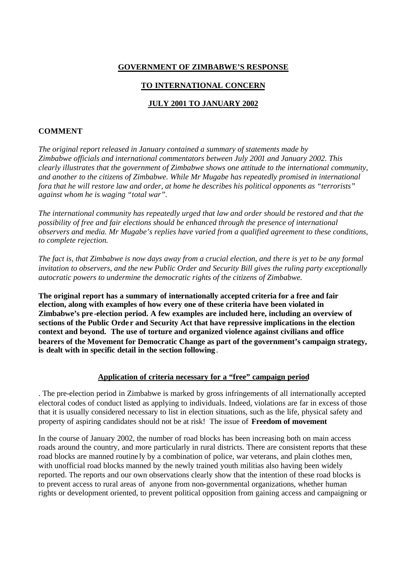# **GOVERNMENT OF ZIMBABWE'S RESPONSE**

# **TO INTERNATIONAL CONCERN**

## **JULY 2001 TO JANUARY 2002**

#### **COMMENT**

*The original report released in January contained a summary of statements made by Zimbabwe officials and international commentators between July 2001 and January 2002. This clearly illustrates that the government of Zimbabwe shows one attitude to the international community, and another to the citizens of Zimbabwe. While Mr Mugabe has repeatedly promised in international fora that he will restore law and order, at home he describes his political opponents as "terrorists" against whom he is waging "total war".* 

*The international community has repeatedly urged that law and order should be restored and that the possibility of free and fair elections should be enhanced through the presence of international observers and media. Mr Mugabe's replies have varied from a qualified agreement to these conditions, to complete rejection.* 

*The fact is, that Zimbabwe is now days away from a crucial election, and there is yet to be any formal invitation to observers, and the new Public Order and Security Bill gives the ruling party exceptionally autocratic powers to undermine the democratic rights of the citizens of Zimbabwe.* 

**The original report has a summary of internationally accepted criteria for a free and fair election, along with examples of how every one of these criteria have been violated in Zimbabwe's pre -election period. A few examples are included here, including an overview of sections of the Public Orde r and Security Act that have repressive implications in the election context and beyond. The use of torture and organized violence against civilians and office bearers of the Movement for Democratic Change as part of the government's campaign strategy, is dealt with in specific detail in the section following**.

#### **Application of criteria necessary for a "free" campaign period**

. The pre-election period in Zimbabwe is marked by gross infringements of all internationally accepted electoral codes of conduct listed as applying to individuals. Indeed, violations are far in excess of those that it is usually considered necessary to list in election situations, such as the life, physical safety and property of aspiring candidates should not be at risk! The issue of **Freedom of movement**

In the course of January 2002, the number of road blocks has been increasing both on main access roads around the country, and more particularly in rural districts. There are consistent reports that these road blocks are manned routine ly by a combination of police, war veterans, and plain clothes men, with unofficial road blocks manned by the newly trained youth militias also having been widely reported. The reports and our own observations clearly show that the intention of these road blocks is to prevent access to rural areas of anyone from non-governmental organizations, whether human rights or development oriented, to prevent political opposition from gaining access and campaigning or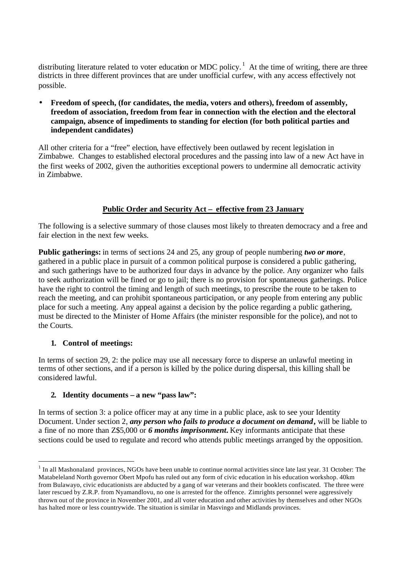distributing literature related to voter education or MDC policy.<sup>1</sup> At the time of writing, there are three districts in three different provinces that are under unofficial curfew, with any access effectively not possible.

• **Freedom of speech, (for candidates, the media, voters and others), freedom of assembly, freedom of association, freedom from fear in connection with the election and the electoral campaign, absence of impediments to standing for election (for both political parties and independent candidates)** 

All other criteria for a "free" election, have effectively been outlawed by recent legislation in Zimbabwe. Changes to established electoral procedures and the passing into law of a new Act have in the first weeks of 2002, given the authorities exceptional powers to undermine all democratic activity in Zimbabwe.

## **Public Order and Security Act – effective from 23 January**

The following is a selective summary of those clauses most likely to threaten democracy and a free and fair election in the next few weeks.

**Public gatherings:** in terms of sections 24 and 25, any group of people numbering *two or more*, gathered in a public place in pursuit of a common political purpose is considered a public gathering, and such gatherings have to be authorized four days in advance by the police. Any organizer who fails to seek authorization will be fined or go to jail; there is no provision for spontaneous gatherings. Police have the right to control the timing and length of such meetings, to prescribe the route to be taken to reach the meeting, and can prohibit spontaneous participation, or any people from entering any public place for such a meeting. Any appeal against a decision by the police regarding a public gathering, must be directed to the Minister of Home Affairs (the minister responsible for the police), and not to the Courts.

#### **1. Control of meetings:**

In terms of section 29, 2: the police may use all necessary force to disperse an unlawful meeting in terms of other sections, and if a person is killed by the police during dispersal, this killing shall be considered lawful.

#### **2. Identity documents – a new "pass law":**

In terms of section 3: a police officer may at any time in a public place, ask to see your Identity Document. Under section 2, *any person who fails to produce a document on demand***,** will be liable to a fine of no more than Z\$5,000 or *6 months imprisonment***.** Key informants anticipate that these sections could be used to regulate and record who attends public meetings arranged by the opposition.

 $<sup>1</sup>$  In all Mashonaland provinces, NGOs have been unable to continue normal activities since late last year. 31 October: The</sup> Matabeleland North governor Obert Mpofu has ruled out any form of civic education in his education workshop. 40km from Bulawayo, civic educationists are abducted by a gang of war veterans and their booklets confiscated. The three were later rescued by Z.R.P. from Nyamandlovu, no one is arrested for the offence. Zimrights personnel were aggressively thrown out of the province in November 2001, and all voter education and other activities by themselves and other NGOs has halted more or less countrywide. The situation is similar in Masvingo and Midlands provinces.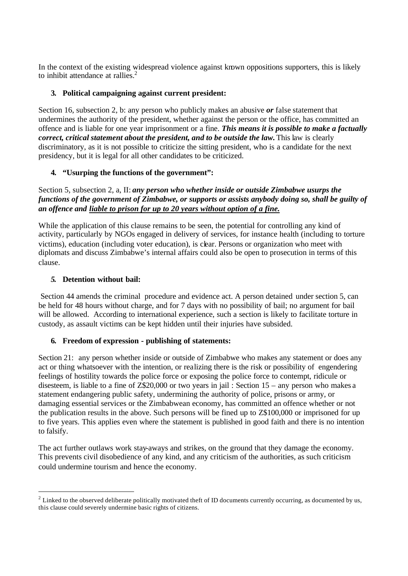In the context of the existing widespread violence against known oppositions supporters, this is likely to inhibit attendance at rallies.<sup>2</sup>

## **3. Political campaigning against current president:**

Section 16, subsection 2, b: any person who publicly makes an abusive *or* false statement that undermines the authority of the president, whether against the person or the office, has committed an offence and is liable for one year imprisonment or a fine. *This means it is possible to make a factually correct, critical statement about the president, and to be outside the law.* This law is clearly discriminatory, as it is not possible to criticize the sitting president, who is a candidate for the next presidency, but it is legal for all other candidates to be criticized.

## **4. "Usurping the functions of the government":**

Section 5, subsection 2, a, II: *any person who whether inside or outside Zimbabwe usurps the functions of the government of Zimbabwe, or supports or assists anybody doing so, shall be guilty of an offence and liable to prison for up to 20 years without option of a fine.* 

While the application of this clause remains to be seen, the potential for controlling any kind of activity, particularly by NGOs engaged in delivery of services, for instance health (including to torture victims), education (including voter education), is clear. Persons or organization who meet with diplomats and discuss Zimbabwe's internal affairs could also be open to prosecution in terms of this clause.

#### *5.* **Detention without bail:**

Section 44 amends the criminal procedure and evidence act. A person detained under section 5, can be held for 48 hours without charge, and for 7 days with no possibility of bail; no argument for bail will be allowed. According to international experience, such a section is likely to facilitate torture in custody, as assault victims can be kept hidden until their injuries have subsided.

#### **6. Freedom of expression - publishing of statements:**

Section 21: any person whether inside or outside of Zimbabwe who makes any statement or does any act or thing whatsoever with the intention, or realizing there is the risk or possibility of engendering feelings of hostility towards the police force or exposing the police force to contempt, ridicule or disesteem, is liable to a fine of Z\$20,000 or two years in jail : Section 15 – any person who makes a statement endangering public safety, undermining the authority of police, prisons or army, or damaging essential services or the Zimbabwean economy, has committed an offence whether or not the publication results in the above. Such persons will be fined up to Z\$100,000 or imprisoned for up to five years. This applies even where the statement is published in good faith and there is no intention to falsify.

The act further outlaws work stay-aways and strikes, on the ground that they damage the economy. This prevents civil disobedience of any kind, and any criticism of the authorities, as such criticism could undermine tourism and hence the economy.

 $2^2$  Linked to the observed deliberate politically motivated theft of ID documents currently occurring, as documented by us, this clause could severely undermine basic rights of citizens.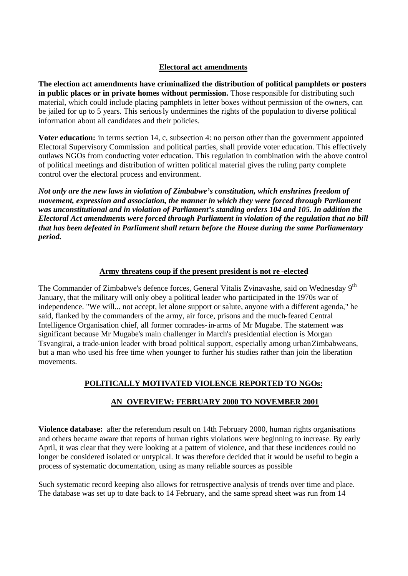### **Electoral act amendments**

**The election act amendments have criminalized the distribution of political pamphlets or posters**  in public places or in private homes without permission. Those responsible for distributing such material, which could include placing pamphlets in letter boxes without permission of the owners, can be jailed for up to 5 years. This seriously undermines the rights of the population to diverse political information about all candidates and their policies.

**Voter education:** in terms section 14, c, subsection 4: no person other than the government appointed Electoral Supervisory Commission and political parties, shall provide voter education. This effectively outlaws NGOs from conducting voter education. This regulation in combination with the above control of political meetings and distribution of written political material gives the ruling party complete control over the electoral process and environment.

*Not only are the new laws in violation of Zimbabwe's constitution, which enshrines freedom of movement, expression and association, the manner in which they were forced through Parliament was unconstitutional and in violation of Parliament's standing orders 104 and 105. In addition the Electoral Act amendments were forced through Parliament in violation of the regulation that no bill that has been defeated in Parliament shall return before the House during the same Parliamentary period.* 

#### **Army threatens coup if the present president is not re -elected**

The Commander of Zimbabwe's defence forces, General Vitalis Zvinavashe, said on Wednesday 9<sup>th</sup> January, that the military will only obey a political leader who participated in the 1970s war of independence. "We will... not accept, let alone support or salute, anyone with a different agenda," he said, flanked by the commanders of the army, air force, prisons and the much-feared Central Intelligence Organisation chief, all former comrades-in-arms of Mr Mugabe. The statement was significant because Mr Mugabe's main challenger in March's presidential election is Morgan Tsvangirai, a trade-union leader with broad political support, especially among urban Zimbabweans, but a man who used his free time when younger to further his studies rather than join the liberation movements.

# **POLITICALLY MOTIVATED VIOLENCE REPORTED TO NGOs:**

# **AN OVERVIEW: FEBRUARY 2000 TO NOVEMBER 2001**

**Violence database:** after the referendum result on 14th February 2000, human rights organisations and others became aware that reports of human rights violations were beginning to increase. By early April, it was clear that they were looking at a pattern of violence, and that these incidences could no longer be considered isolated or untypical. It was therefore decided that it would be useful to begin a process of systematic documentation, using as many reliable sources as possible

Such systematic record keeping also allows for retrospective analysis of trends over time and place. The database was set up to date back to 14 February, and the same spread sheet was run from 14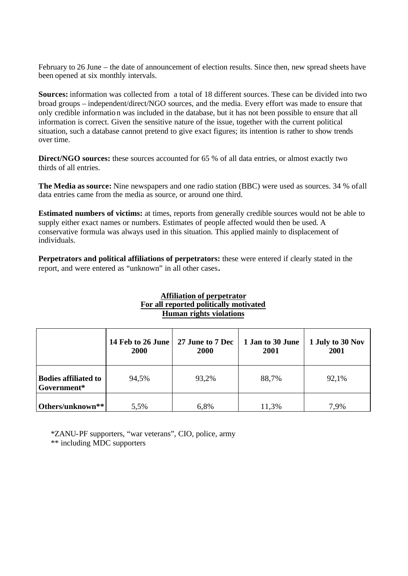February to 26 June – the date of announcement of election results. Since then, new spread sheets have been opened at six monthly intervals.

**Sources:** information was collected from a total of 18 different sources. These can be divided into two broad groups – independent/direct/NGO sources, and the media. Every effort was made to ensure that only credible information was included in the database, but it has not been possible to ensure that all information is correct. Given the sensitive nature of the issue, together with the current political situation, such a database cannot pretend to give exact figures; its intention is rather to show trends over time.

**Direct/NGO sources:** these sources accounted for 65 % of all data entries, or almost exactly two thirds of all entries.

**The Media as source:** Nine newspapers and one radio station (BBC) were used as sources. 34 % of all data entries came from the media as source, or around one third.

**Estimated numbers of victims:** at times, reports from generally credible sources would not be able to supply either exact names or numbers. Estimates of people affected would then be used. A conservative formula was always used in this situation. This applied mainly to displacement of individuals.

**Perpetrators and political affiliations of perpetrators:** these were entered if clearly stated in the report, and were entered as "unknown" in all other cases**.**

#### **Affiliation of perpetrator For all reported politically motivated Human rights violations**

|                                            | 14 Feb to 26 June   27 June to 7 Dec<br><b>2000</b> | <b>2000</b> | 1 Jan to 30 June<br>2001 | 1 July to 30 Nov<br>2001 |
|--------------------------------------------|-----------------------------------------------------|-------------|--------------------------|--------------------------|
| <b>Bodies affiliated to</b><br>Government* | 94,5%                                               | 93,2%       | 88,7%                    | 92,1%                    |
| Others/unknown**                           | 5.5%                                                | 6,8%        | 11,3%                    | 7.9%                     |

\*ZANU-PF supporters, "war veterans", CIO, police, army

\*\* including MDC supporters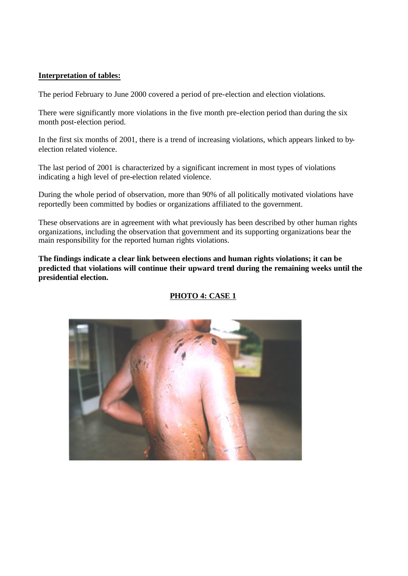## **Interpretation of tables:**

The period February to June 2000 covered a period of pre-election and election violations.

There were significantly more violations in the five month pre-election period than during the six month post-election period.

In the first six months of 2001, there is a trend of increasing violations, which appears linked to byelection related violence.

The last period of 2001 is characterized by a significant increment in most types of violations indicating a high level of pre-election related violence.

During the whole period of observation, more than 90% of all politically motivated violations have reportedly been committed by bodies or organizations affiliated to the government.

These observations are in agreement with what previously has been described by other human rights organizations, including the observation that government and its supporting organizations bear the main responsibility for the reported human rights violations.

**The findings indicate a clear link between elections and human rights violations; it can be predicted that violations will continue their upward trend during the remaining weeks until the presidential election.** 

# **PHOTO 4: CASE 1**

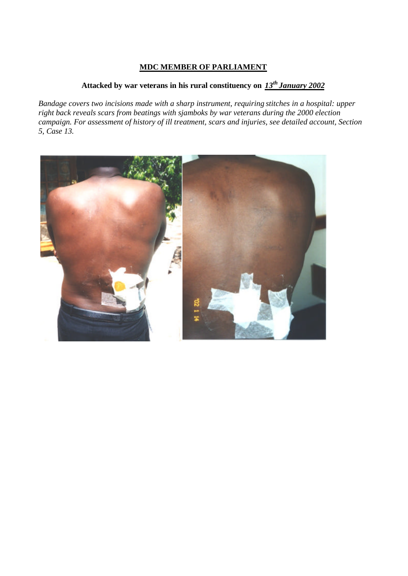# **MDC MEMBER OF PARLIAMENT**

# **Attacked by war veterans in his rural constituency on** *13th January 2002*

*Bandage covers two incisions made with a sharp instrument, requiring stitches in a hospital: upper right back reveals scars from beatings with sjamboks by war veterans during the 2000 election campaign. For assessment of history of ill treatment, scars and injuries, see detailed account, Section 5, Case 13.*

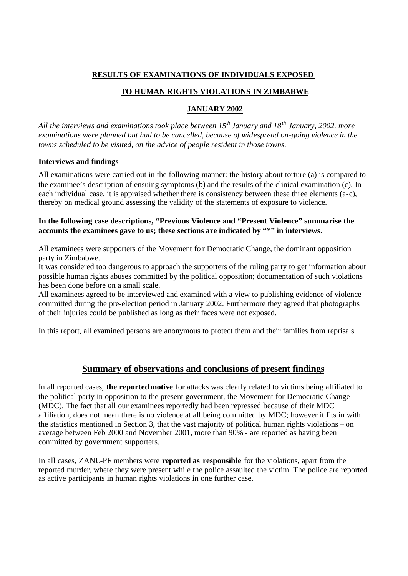# **RESULTS OF EXAMINATIONS OF INDIVIDUALS EXPOSED**

# **TO HUMAN RIGHTS VIOLATIONS IN ZIMBABWE**

## **JANUARY 2002**

*All the interviews and examinations took place between 15th January and 18th January, 2002. more examinations were planned but had to be cancelled, because of widespread on-going violence in the towns scheduled to be visited, on the advice of people resident in those towns.*

#### **Interviews and findings**

All examinations were carried out in the following manner: the history about torture (a) is compared to the examinee's description of ensuing symptoms (b) and the results of the clinical examination (c). In each individual case, it is appraised whether there is consistency between these three elements (a-c), thereby on medical ground assessing the validity of the statements of exposure to violence.

### **In the following case descriptions, "Previous Violence and "Present Violence" summarise the accounts the examinees gave to us; these sections are indicated by "\*" in interviews.**

All examinees were supporters of the Movement fo r Democratic Change, the dominant opposition party in Zimbabwe.

It was considered too dangerous to approach the supporters of the ruling party to get information about possible human rights abuses committed by the political opposition; documentation of such violations has been done before on a small scale.

All examinees agreed to be interviewed and examined with a view to publishing evidence of violence committed during the pre-election period in January 2002. Furthermore they agreed that photographs of their injuries could be published as long as their faces were not exposed.

In this report, all examined persons are anonymous to protect them and their families from reprisals.

# **Summary of observations and conclusions of present findings**

In all reported cases, **the reportedmotive** for attacks was clearly related to victims being affiliated to the political party in opposition to the present government, the Movement for Democratic Change (MDC). The fact that all our examinees reportedly had been repressed because of their MDC affiliation, does not mean there is no violence at all being committed by MDC; however it fits in with the statistics mentioned in Section 3, that the vast majority of political human rights violations – on average between Feb 2000 and November 2001, more than 90% - are reported as having been committed by government supporters.

In all cases, ZANU-PF members were **reported as responsible** for the violations, apart from the reported murder, where they were present while the police assaulted the victim. The police are reported as active participants in human rights violations in one further case.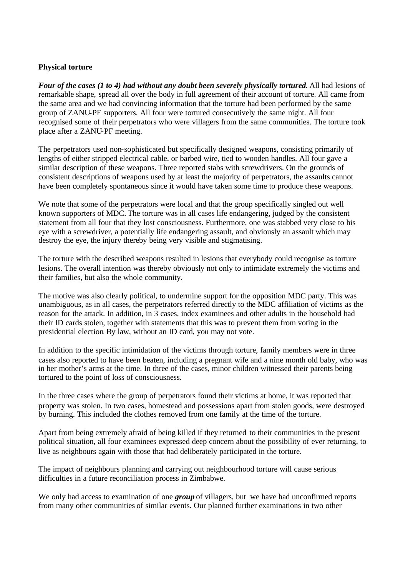#### **Physical torture**

*Four of the cases (1 to 4) had without any doubt been severely physically tortured.* All had lesions of remarkable shape, spread all over the body in full agreement of their account of torture. All came from the same area and we had convincing information that the torture had been performed by the same group of ZANU-PF supporters. All four were tortured consecutively the same night. All four recognised some of their perpetrators who were villagers from the same communities. The torture took place after a ZANU-PF meeting.

The perpetrators used non-sophisticated but specifically designed weapons, consisting primarily of lengths of either stripped electrical cable, or barbed wire, tied to wooden handles. All four gave a similar description of these weapons. Three reported stabs with screwdrivers. On the grounds of consistent descriptions of weapons used by at least the majority of perpetrators, the assaults cannot have been completely spontaneous since it would have taken some time to produce these weapons.

We note that some of the perpetrators were local and that the group specifically singled out well known supporters of MDC. The torture was in all cases life endangering, judged by the consistent statement from all four that they lost consciousness. Furthermore, one was stabbed very close to his eye with a screwdriver, a potentially life endangering assault, and obviously an assault which may destroy the eye, the injury thereby being very visible and stigmatising.

The torture with the described weapons resulted in lesions that everybody could recognise as torture lesions. The overall intention was thereby obviously not only to intimidate extremely the victims and their families, but also the whole community.

The motive was also clearly political, to undermine support for the opposition MDC party. This was unambiguous, as in all cases, the perpetrators referred directly to the MDC affiliation of victims as the reason for the attack. In addition, in 3 cases, index examinees and other adults in the household had their ID cards stolen, together with statements that this was to prevent them from voting in the presidential election. By law, without an ID card, you may not vote.

In addition to the specific intimidation of the victims through torture, family members were in three cases also reported to have been beaten, including a pregnant wife and a nine month old baby, who was in her mother's arms at the time. In three of the cases, minor children witnessed their parents being tortured to the point of loss of consciousness.

In the three cases where the group of perpetrators found their victims at home, it was reported that property was stolen. In two cases, homestead and possessions apart from stolen goods, were destroyed by burning. This included the clothes removed from one family at the time of the torture.

Apart from being extremely afraid of being killed if they returned to their communities in the present political situation, all four examinees expressed deep concern about the possibility of ever returning, to live as neighbours again with those that had deliberately participated in the torture.

The impact of neighbours planning and carrying out neighbourhood torture will cause serious difficulties in a future reconciliation process in Zimbabwe.

We only had access to examination of one *group* of villagers, but we have had unconfirmed reports from many other communities of similar events. Our planned further examinations in two other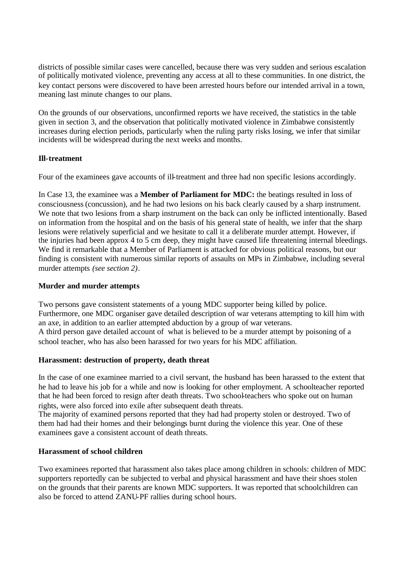districts of possible similar cases were cancelled, because there was very sudden and serious escalation of politically motivated violence, preventing any access at all to these communities. In one district, the key contact persons were discovered to have been arrested hours before our intended arrival in a town, meaning last minute changes to our plans.

On the grounds of our observations, unconfirmed reports we have received, the statistics in the table given in section 3, and the observation that politically motivated violence in Zimbabwe consistently increases during election periods, particularly when the ruling party risks losing, we infer that similar incidents will be widespread during the next weeks and months.

## **Ill-treatment**

Four of the examinees gave accounts of ill-treatment and three had non specific lesions accordingly.

In Case 13, the examinee was a **Member of Parliament for MDC:** the beatings resulted in loss of consciousness (concussion), and he had two lesions on his back clearly caused by a sharp instrument. We note that two lesions from a sharp instrument on the back can only be inflicted intentionally. Based on information from the hospital and on the basis of his general state of health, we infer that the sharp lesions were relatively superficial and we hesitate to call it a deliberate murder attempt. However, if the injuries had been approx 4 to 5 cm deep, they might have caused life threatening internal bleedings. We find it remarkable that a Member of Parliament is attacked for obvious political reasons, but our finding is consistent with numerous similar reports of assaults on MPs in Zimbabwe, including several murder attempts *(see section 2)*.

#### **Murder and murder attempts**

Two persons gave consistent statements of a young MDC supporter being killed by police. Furthermore, one MDC organiser gave detailed description of war veterans attempting to kill him with an axe, in addition to an earlier attempted abduction by a group of war veterans. A third person gave detailed account of what is believed to be a murder attempt by poisoning of a school teacher, who has also been harassed for two years for his MDC affiliation.

#### **Harassment: destruction of property, death threat**

In the case of one examinee married to a civil servant, the husband has been harassed to the extent that he had to leave his job for a while and now is looking for other employment. A schoolteacher reported that he had been forced to resign after death threats. Two school-teachers who spoke out on human rights, were also forced into exile after subsequent death threats.

The majority of examined persons reported that they had had property stolen or destroyed. Two of them had had their homes and their belongings burnt during the violence this year. One of these examinees gave a consistent account of death threats.

#### **Harassment of school children**

Two examinees reported that harassment also takes place among children in schools: children of MDC supporters reportedly can be subjected to verbal and physical harassment and have their shoes stolen on the grounds that their parents are known MDC supporters. It was reported that schoolchildren can also be forced to attend ZANU-PF rallies during school hours.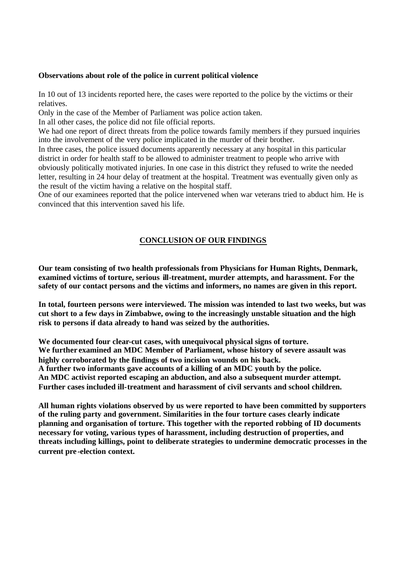#### **Observations about role of the police in current political violence**

In 10 out of 13 incidents reported here, the cases were reported to the police by the victims or their relatives.

Only in the case of the Member of Parliament was police action taken.

In all other cases, the police did not file official reports.

We had one report of direct threats from the police towards family members if they pursued inquiries into the involvement of the very police implicated in the murder of their brother.

In three cases, the police issued documents apparently necessary at any hospital in this particular district in order for health staff to be allowed to administer treatment to people who arrive with obviously politically motivated injuries. In one case in this district they refused to write the needed letter, resulting in 24 hour delay of treatment at the hospital. Treatment was eventually given only as the result of the victim having a relative on the hospital staff.

One of our examinees reported that the police intervened when war veterans tried to abduct him. He is convinced that this intervention saved his life.

## **CONCLUSION OF OUR FINDINGS**

**Our team consisting of two health professionals from Physicians for Human Rights, Denmark, examined victims of torture, serious ill-treatment, murder attempts, and harassment. For the safety of our contact persons and the victims and informers, no names are given in this report.** 

**In total, fourteen persons were interviewed. The mission was intended to last two weeks, but was cut short to a few days in Zimbabwe, owing to the increasingly unstable situation and the high risk to persons if data already to hand was seized by the authorities.** 

**We documented four clear-cut cases, with unequivocal physical signs of torture. We further examined an MDC Member of Parliament, whose history of severe assault was highly corroborated by the findings of two incision wounds on his back. A further two informants gave accounts of a killing of an MDC youth by the police. An MDC activist reported escaping an abduction, and also a subsequent murder attempt. Further cases included ill-treatment and harassment of civil servants and school children.** 

**All human rights violations observed by us were reported to have been committed by supporters of the ruling party and government. Similarities in the four torture cases clearly indicate planning and organisation of torture. This together with the reported robbing of ID documents necessary for voting, various types of harassment, including destruction of properties, and threats including killings, point to deliberate strategies to undermine democratic processes in the current pre -election context.**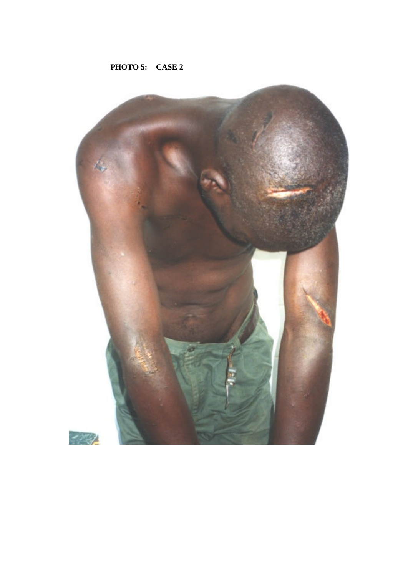